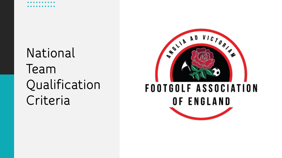## **National Team Qualification Criteria**

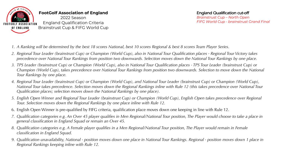

- *1. A Ranking will be determined by the best 18 scores National, best 10 scores Regional & best 8 scores Team Player Series.*
- *2. Regional Tour Leader (brainstrust Cup) or Champion (World Cup), also in National Tour Qualification places - Regional Tour Victory takes precedence over National Tour Rankings from position two downwards. Selection moves down the National Tour Rankings by one place.*
- *3. TPS Leader (brainstrust Cup) or Champion (World Cup), also in National Tour Qualification places - TPS Tour Leader (brainstrust Cup) or Champion (World Cup), takes precedence over National Tour Rankings from position two downwards. Selection to move down the National Tour Rankings by one place.*
- *4. Regional Tour Leader (brainstrust Cup) or Champion (World Cup), and National Tour Leader (brainstrust Cup) or Champion (World Cup), National Tour takes precedence. Selection moves down the Regional Rankings inline with Rule 12 (this takes precedence over National Tour Qualification places; selection moves down the National Rankings by one place).*
- *5. English Open Winner and Regional Tour Leader (brainstrust Cup) or Champion (World Cup), English Open takes precedence over Regional Tour. Selection moves down the Regional Rankings by one place inline with Rule 12.*
- 6. English Open Winner is pre-qualified by FIFG criteria, qualification place moves down one keeping in line with Rule 12.
- *7. Qualification categories e.g. An Over 45 player qualifies in Men Regional/National Tour position, The Player would choose to take a place in general classification in England Squad or remain an Over 45.*
- *8. Qualification categories e.g. A Female player qualifies in a Men Regional/National Tour position, The Player would remain in Female classification in England Squad.*
- *9. Qualification unavailability, National - position moves down one place in National Tour Rankings. Regional - position moves down 1 place in Regional Rankings keeping inline with Rule 12.*